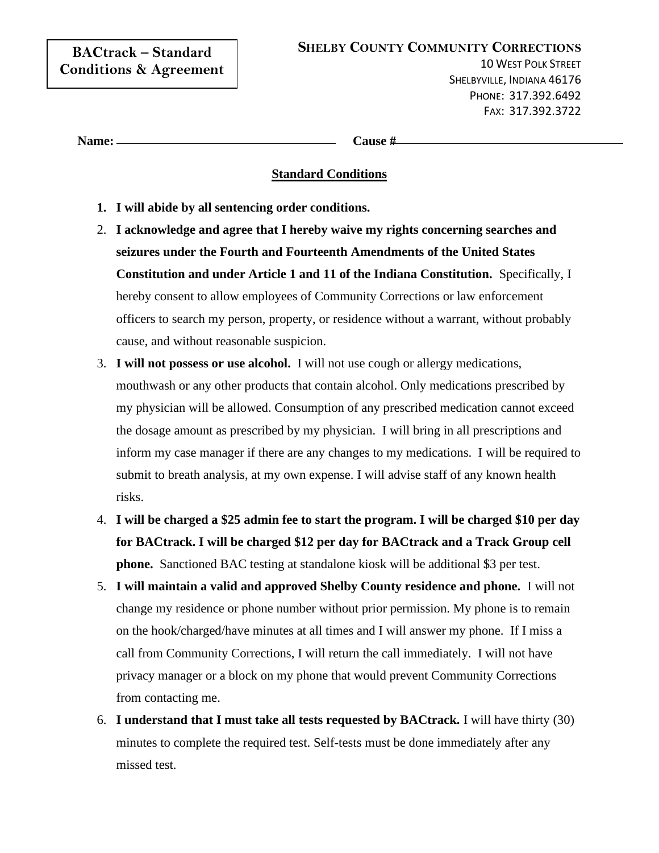| <b>BACtrack - Standard</b>        |
|-----------------------------------|
| <b>Conditions &amp; Agreement</b> |

10 WEST POLK STREET SHELBYVILLE, INDIANA 46176 PHONE: 317.392.6492 FAX: 317.392.3722

| Name: |  |
|-------|--|
|       |  |

**Name: Cause #**

## **Standard Conditions**

- **1. I will abide by all sentencing order conditions.**
- 2. **I acknowledge and agree that I hereby waive my rights concerning searches and seizures under the Fourth and Fourteenth Amendments of the United States Constitution and under Article 1 and 11 of the Indiana Constitution.** Specifically, I hereby consent to allow employees of Community Corrections or law enforcement officers to search my person, property, or residence without a warrant, without probably cause, and without reasonable suspicion.
- 3. **I will not possess or use alcohol.** I will not use cough or allergy medications, mouthwash or any other products that contain alcohol. Only medications prescribed by my physician will be allowed. Consumption of any prescribed medication cannot exceed the dosage amount as prescribed by my physician. I will bring in all prescriptions and inform my case manager if there are any changes to my medications. I will be required to submit to breath analysis, at my own expense. I will advise staff of any known health risks.
- 4. **I will be charged a \$25 admin fee to start the program. I will be charged \$10 per day for BACtrack. I will be charged \$12 per day for BACtrack and a Track Group cell phone.** Sanctioned BAC testing at standalone kiosk will be additional \$3 per test.
- 5. **I will maintain a valid and approved Shelby County residence and phone.** I will not change my residence or phone number without prior permission. My phone is to remain on the hook/charged/have minutes at all times and I will answer my phone. If I miss a call from Community Corrections, I will return the call immediately. I will not have privacy manager or a block on my phone that would prevent Community Corrections from contacting me.
- 6. **I understand that I must take all tests requested by BACtrack.** I will have thirty (30) minutes to complete the required test. Self-tests must be done immediately after any missed test.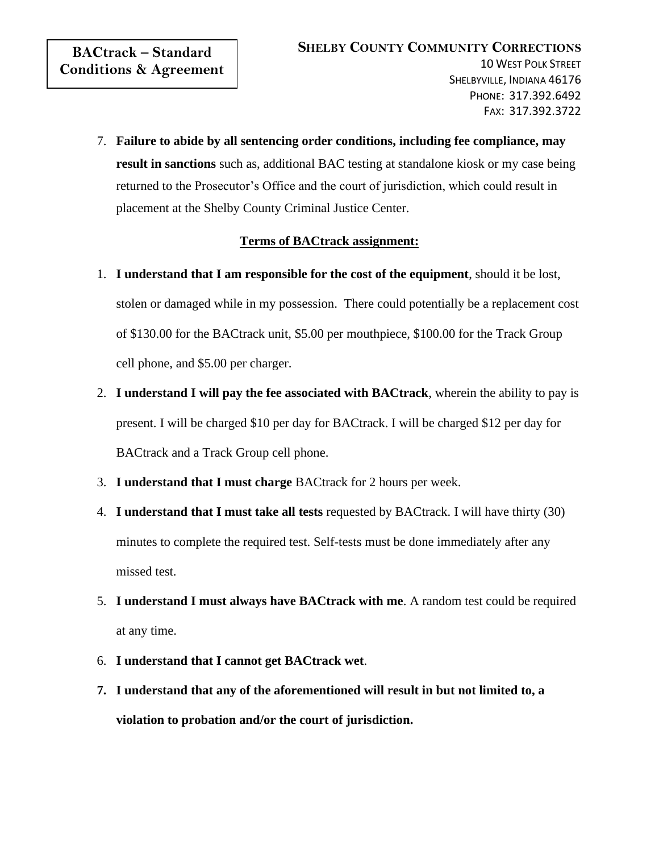7. **Failure to abide by all sentencing order conditions, including fee compliance, may result in sanctions** such as, additional BAC testing at standalone kiosk or my case being returned to the Prosecutor's Office and the court of jurisdiction, which could result in placement at the Shelby County Criminal Justice Center.

## **Terms of BACtrack assignment:**

- 1. **I understand that I am responsible for the cost of the equipment**, should it be lost, stolen or damaged while in my possession. There could potentially be a replacement cost of \$130.00 for the BACtrack unit, \$5.00 per mouthpiece, \$100.00 for the Track Group cell phone, and \$5.00 per charger.
- 2. **I understand I will pay the fee associated with BACtrack**, wherein the ability to pay is present. I will be charged \$10 per day for BACtrack. I will be charged \$12 per day for BACtrack and a Track Group cell phone.
- 3. **I understand that I must charge** BACtrack for 2 hours per week.
- 4. **I understand that I must take all tests** requested by BACtrack. I will have thirty (30) minutes to complete the required test. Self-tests must be done immediately after any missed test.
- 5. **I understand I must always have BACtrack with me**. A random test could be required at any time.
- 6. **I understand that I cannot get BACtrack wet**.
- **7. I understand that any of the aforementioned will result in but not limited to, a violation to probation and/or the court of jurisdiction.**